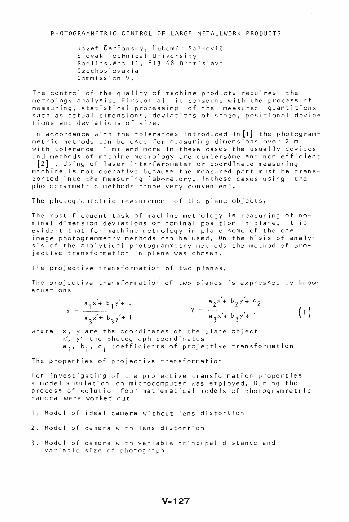PHOTOGRAMMETRIC CONTROL OF LARGE METALLWORK PRODUCTS

Jozef Čerňanský, Ľubomír Salkovič Slovak Technical University Radlinskeho 11,81368 Bratislava Czechoslovakia Commission V.

The control of the quality of machine products requires the metrology analysis. Firstof all it conserns with the process of measuring, statistical processing of the measured quantitiens sach as actual dimensions, deviations of shape, positional deviations and deviations of size.

In accordance with the tolerances introduced in<sup>[1]</sup> the photogrammetric methods can be used for measuring dimensions over 2 m wi th tolerance 1 mm and more In these cases the usually devices and methods of machine metrology are cumbers6me and non efficient [2] • Using of laser interferometer or coordinate measuring machine is not operative because the measured part must be trans-

ported into the measuring laboratory, Inthese cases using the photogrammetric methods canbe very convenient.

The photogrammetric measurement of the plane objects.

The most frequent task of machine metrology is measuring of nominal dimension deviations or nominal position in plane. It is evident that for machine metrology in plane some of the one image photogrammetry methods can be used. On the bisis of analysis of the analytical photogrammetry methods the method of projective transformation in plane was chosen.

The projective transformation of two planes.

The projective transformation of two planes is expressed by known equations

| $a_1 \times + b_1 \times + c_1$ |  | $a_2 \times + b_2 \times + c_2$ |  |
|---------------------------------|--|---------------------------------|--|
| $a_2x + b_2y + 1$               |  | $a_2x + b_2y + 1$               |  |

where x, yare the coordinates of the plane object  $x'$ ,  $y'$  the photograph coordinates a<sub>j</sub>, b<sub>i</sub>, c<sub>i</sub> coefficients of projective transformation

The properties of projective transformation

For investigating of the projective transformation properties a model simulation on microcomputer was employed. During the process of solution four mathematical models of photogrammetric camera were worked out

- 1. Model of ideal camera without lens distortion
- 2. Model of camera with lens distortion
- 3. Model of camera with variable principal distance and variable size of photograph

V-127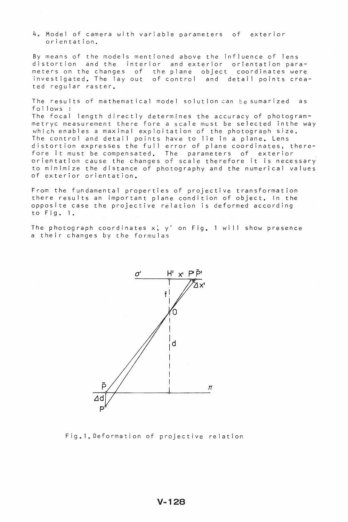4e Model of camera with variable parameters of exterior orientation.

By means of the models mentioned above the influence of lens distortion and the interior and exterior orientation parameters on the changes of the plane object coordinates were investigated. The layout of control and detail points created regular raster.

The results of mathematical model solution can be sumarized as follows:

The focal length directly determines the accuracy of photogrammetryc measurement there fore a scale must be selected inthe way which enables a maximal exploitation of the photograph size. The control and detail points have to lie in a plane. Lens distortion expresses the full error of plane coordinates, therearstortion expresses the rair error or prane ecorarmates, the raise of the state of the state of the state of orientation cause the changes of scale therefore it is necessary to minimize the distance of photography and the numerical values of exterior orientation.

From the fundamental properties of projective transformation there results an important plane condition of object. In the opposite case the projective relation is deformed according to Fig. 1.

The photograph coordinates  $x'$ ,  $y'$  on Fig. 1 will show presence a their changes by the formulas



Fig.1. Deformation of projective relation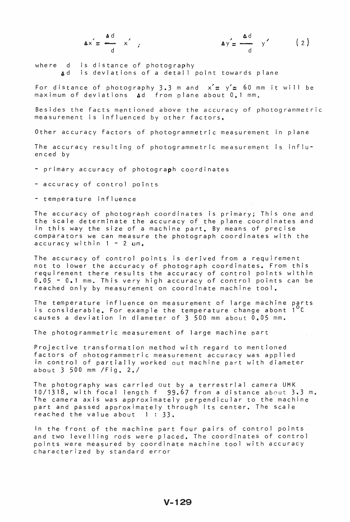$$
\Delta x = \frac{\Delta d}{d} x',
$$

$$
\Delta x' = \frac{\Delta d}{d} x', \qquad \Delta y' = \frac{\Delta d}{d} y' \qquad (2)
$$

where d is distance of photography Ad is deviations of a detail point towards plane

For distance of photography 3.3 m and  $x' = y' = 60$  mm it will be maximum of deviations Ad from plane about 0.1 mm.

Besides the facts mentioned above the accuracy of photogrammetric measurement is influenced by other factors.

Other accuracy factors of photogrammetric measurement in plane

The accuracy resulting of photogrammetric measurement is influenced by

- primary accuracy of photograph coordinates

- accuracy of control points

- temperature influence

The accuracy of photograph coordinates is primary; This one and the scale determinate the accuracy of the plane coordinates and in this way the size of a machine part. By means of precise comparators we can measure the photograph coordinates with the  $accuracy$  within  $1 - 2$  um.

The accuracy of control points is derived from a requjrement not to lower the accuracy of photograph coordinates. From this requirement there results the accuracy of control points within 0.05 - 0.1 mm. This very high accuracy of control points can be reached only by measurement on coordinate machine tool.

The temperature influence on measurement of large machine parts is considerable. For example the temperature change abont  $1$ causes a deviation in diameter of  $3\,$  500 mm about  $0.05$  mm.

The photogrammetric measurement of large machine part

Projective transformation method with regard to mentioned factors of photogrammetric measurement accuracy was applied in control of partially worked out machine part with diameter about 3 500 mm /Fig. 2./

The photography was carried out by a terrestrial camera UMK  $10/1318$ , with focal length f 99.67 from a distance about 3.3 m. The camera axis was approximately perpendicular to the machine part and passed approximately through its center. The scale reached the value about  $1 : 33$ .

In the front of the machine part four pairs of control points and two levelling rods were placed. The coordinates of control points were measured by coordinate machine tool with accuracy characterized by standard error

## $V - 129$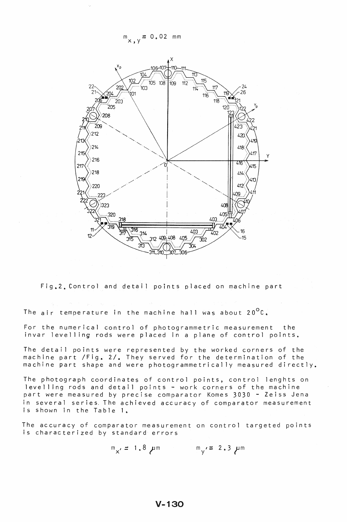$m_{x,y} = 0.02$  mm



Fig. 2. Control and detail points placed on machine part

The air temperature in the machine hall was about  $20^{\circ}$ C.

For the numerical control of photogrammetric measurement the invar levelling rods were placed in a plane of control points.

The detail points were represented by the worked corners of the machine part / Fig. 2/. They served for the determination of the machine part shape and were photogrammetrical ly measured directly.

The photograph coordinates of control points, control lenghts on levelling rods and detail points - work corners of the machine part were measured by precise comparator Komes 3030 - Zeiss Jena in several series, The achieved accuracy of comparator measurement is shown in the Table 1.

The accuracy of comparator measurement on control targeted points is characterized by standard errors

$$
m_x = 1.8 \mu m
$$
  $m_y = 2.3 \mu m$ 

 $V - 130$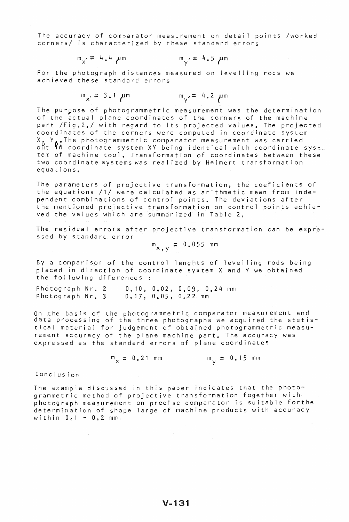The accuracy of comparator measurement on detail points /worked corners/ is characterized by these standard errors

$$
m_x = 4.4 \mu m
$$
  $m_y = 4.5 \mu m$ 

For the photograph distances measured on levelling rods we achieved these standard errors

$$
m_{x'} = 3.1 \mu m
$$
  $m_{y'} = 4.2 \mu m$ 

The purpose of photogrammetric measurement was the determination of the actual plane coordinates of the corners of the machine part  $/Fig_*2$ . with regard to its projected values. The projected coordinates of the corners were computed in coordinate system  $X$ ,  $Y$ <sub>e</sub>The photogrammetric comparator measurement was carried<br>out in coordinate system XY being identical with coordinate syste tem of machine tool. Transformation of coordinates between these two coordinate systems was real ized by Helmert transformat ion equations\_

The parameters of projective transformation, the coeficients of<br>the equations /1/ were calculated as arithmetic mean from independent combinations of control points. The deviations after the mentioned projective transformation on control points achieved the values which are summarized in Table 2.

The residual errors after projective transformation can be expressed by standard error

$$
m_{x,y} = 0.055
$$
 mm

Bya comparison of the control lenghts of levelling rods being placed in direction of coordinate system X and Y we obtained the following diferences :

Photograph Nr. 2 Photograph Nr. 3 0.17,0.05,0.,22 mm 0.10, 0.02,0.09, 0.24 mm

On the basis of the photogrammetric comparator measurement and data processing of the three photographs we acquired the statistical material for judgement of obtained photogrammetric measurement accuracy of the plane machine part. The accuracy was expressed as the standard errors of plane coordinates

> $m_{v} = 0.15$  mm  $m_x = 0.21$  mm

Conclusion

The example discussed in this paper indicates that the photogrammetric method of projective transformation fogether with· photograph measurement on precise comparator is suitable forthe determination of shape large of machine products with accuracy within  $0.1 - 0.2$  mm.